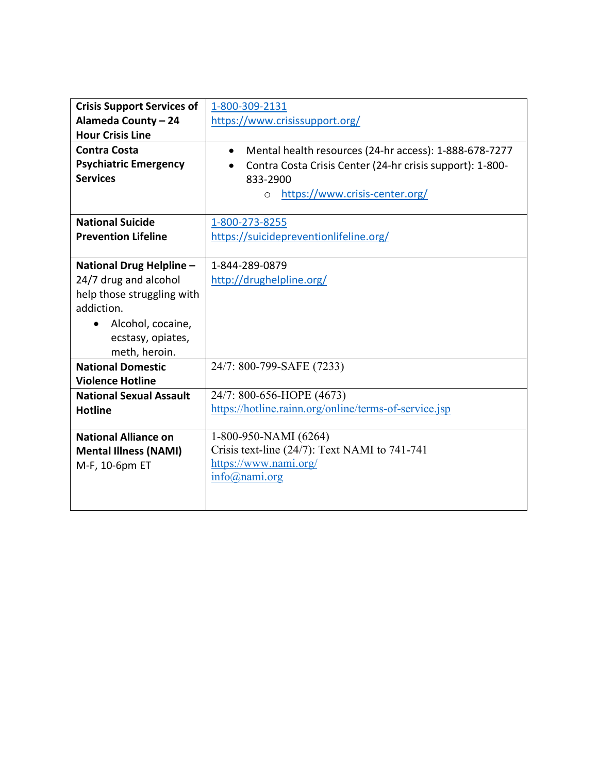| <b>Crisis Support Services of</b> | 1-800-309-2131                                                      |
|-----------------------------------|---------------------------------------------------------------------|
| Alameda County - 24               | https://www.crisissupport.org/                                      |
| <b>Hour Crisis Line</b>           |                                                                     |
| <b>Contra Costa</b>               | Mental health resources (24-hr access): 1-888-678-7277<br>$\bullet$ |
| <b>Psychiatric Emergency</b>      | Contra Costa Crisis Center (24-hr crisis support): 1-800-           |
| <b>Services</b>                   | 833-2900                                                            |
|                                   | https://www.crisis-center.org/<br>$\circ$                           |
|                                   |                                                                     |
| <b>National Suicide</b>           | 1-800-273-8255                                                      |
| <b>Prevention Lifeline</b>        | https://suicidepreventionlifeline.org/                              |
|                                   |                                                                     |
| National Drug Helpline -          | 1-844-289-0879                                                      |
| 24/7 drug and alcohol             | http://drughelpline.org/                                            |
| help those struggling with        |                                                                     |
| addiction.                        |                                                                     |
| Alcohol, cocaine,                 |                                                                     |
| ecstasy, opiates,                 |                                                                     |
| meth, heroin.                     |                                                                     |
| <b>National Domestic</b>          | 24/7: 800-799-SAFE (7233)                                           |
| <b>Violence Hotline</b>           |                                                                     |
| <b>National Sexual Assault</b>    | 24/7: 800-656-HOPE (4673)                                           |
| <b>Hotline</b>                    | https://hotline.rainn.org/online/terms-of-service.jsp               |
|                                   |                                                                     |
| <b>National Alliance on</b>       | 1-800-950-NAMI (6264)                                               |
| <b>Mental Illness (NAMI)</b>      | Crisis text-line $(24/7)$ : Text NAMI to 741-741                    |
| M-F, 10-6pm ET                    | https://www.nami.org/                                               |
|                                   | $info(\omega)$ nami.org                                             |
|                                   |                                                                     |
|                                   |                                                                     |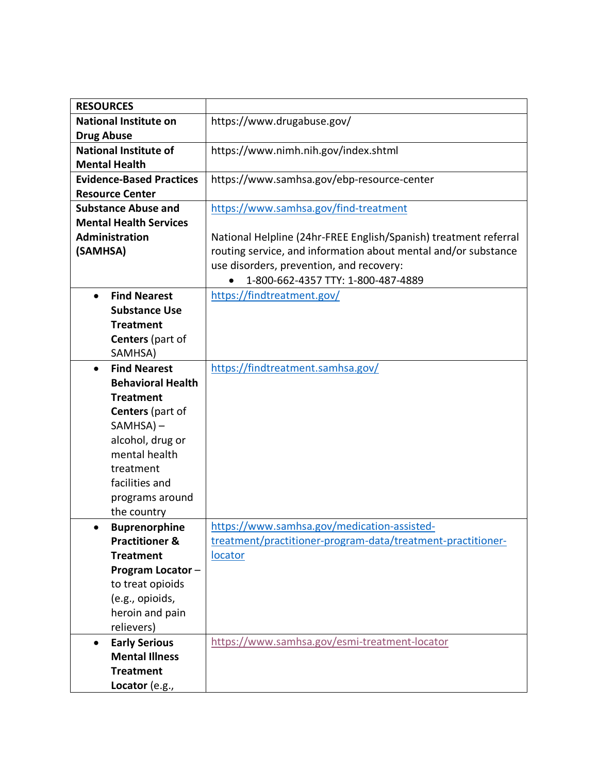| <b>RESOURCES</b>                 |                                                                  |
|----------------------------------|------------------------------------------------------------------|
| <b>National Institute on</b>     | https://www.drugabuse.gov/                                       |
| <b>Drug Abuse</b>                |                                                                  |
| <b>National Institute of</b>     | https://www.nimh.nih.gov/index.shtml                             |
| <b>Mental Health</b>             |                                                                  |
| <b>Evidence-Based Practices</b>  | https://www.samhsa.gov/ebp-resource-center                       |
| <b>Resource Center</b>           |                                                                  |
| <b>Substance Abuse and</b>       | https://www.samhsa.gov/find-treatment                            |
| <b>Mental Health Services</b>    |                                                                  |
| Administration                   | National Helpline (24hr-FREE English/Spanish) treatment referral |
| (SAMHSA)                         | routing service, and information about mental and/or substance   |
|                                  | use disorders, prevention, and recovery:                         |
|                                  | 1-800-662-4357 TTY: 1-800-487-4889                               |
| <b>Find Nearest</b><br>$\bullet$ | https://findtreatment.gov/                                       |
| <b>Substance Use</b>             |                                                                  |
| <b>Treatment</b>                 |                                                                  |
| <b>Centers</b> (part of          |                                                                  |
| SAMHSA)                          |                                                                  |
| <b>Find Nearest</b><br>$\bullet$ | https://findtreatment.samhsa.gov/                                |
| <b>Behavioral Health</b>         |                                                                  |
| <b>Treatment</b>                 |                                                                  |
| Centers (part of                 |                                                                  |
| $SAMHSA$ ) –                     |                                                                  |
| alcohol, drug or                 |                                                                  |
| mental health                    |                                                                  |
| treatment                        |                                                                  |
| facilities and                   |                                                                  |
| programs around                  |                                                                  |
| the country                      |                                                                  |
| <b>Buprenorphine</b>             | https://www.samhsa.gov/medication-assisted-                      |
| <b>Practitioner &amp;</b>        | treatment/practitioner-program-data/treatment-practitioner-      |
| <b>Treatment</b>                 | locator                                                          |
| Program Locator-                 |                                                                  |
| to treat opioids                 |                                                                  |
| (e.g., opioids,                  |                                                                  |
| heroin and pain                  |                                                                  |
| relievers)                       |                                                                  |
| <b>Early Serious</b>             | https://www.samhsa.gov/esmi-treatment-locator                    |
| <b>Mental Illness</b>            |                                                                  |
| <b>Treatment</b>                 |                                                                  |
| Locator (e.g.,                   |                                                                  |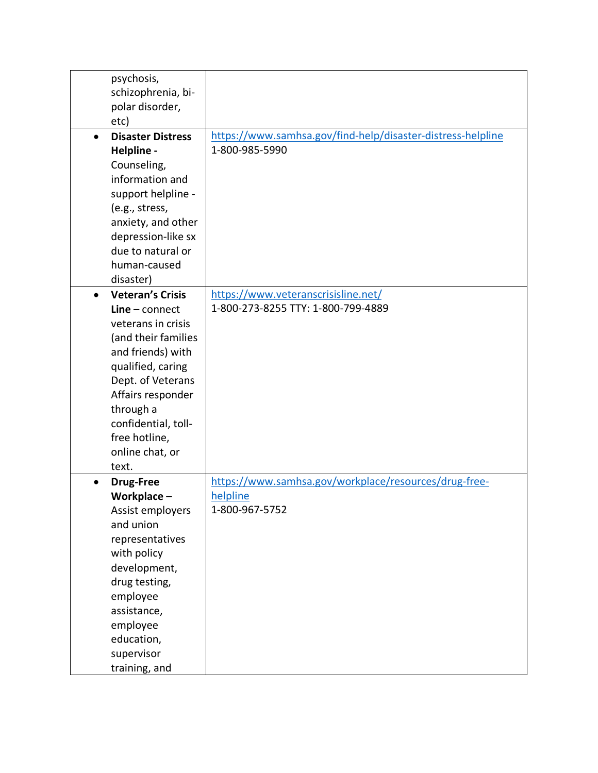| psychosis,                            |                                                             |
|---------------------------------------|-------------------------------------------------------------|
| schizophrenia, bi-                    |                                                             |
| polar disorder,                       |                                                             |
| etc)                                  |                                                             |
| <b>Disaster Distress</b><br>$\bullet$ | https://www.samhsa.gov/find-help/disaster-distress-helpline |
| Helpline -                            | 1-800-985-5990                                              |
| Counseling,                           |                                                             |
| information and                       |                                                             |
| support helpline -                    |                                                             |
| (e.g., stress,                        |                                                             |
| anxiety, and other                    |                                                             |
| depression-like sx                    |                                                             |
| due to natural or                     |                                                             |
| human-caused                          |                                                             |
| disaster)                             |                                                             |
| <b>Veteran's Crisis</b><br>$\bullet$  | https://www.veteranscrisisline.net/                         |
| $Line$ – connect                      | 1-800-273-8255 TTY: 1-800-799-4889                          |
| veterans in crisis                    |                                                             |
| (and their families                   |                                                             |
| and friends) with                     |                                                             |
| qualified, caring                     |                                                             |
| Dept. of Veterans                     |                                                             |
| Affairs responder                     |                                                             |
| through a                             |                                                             |
| confidential, toll-                   |                                                             |
| free hotline,                         |                                                             |
| online chat, or                       |                                                             |
| text.                                 |                                                             |
| <b>Drug-Free</b><br>$\bullet$         | https://www.samhsa.gov/workplace/resources/drug-free-       |
| Workplace-                            | helpline                                                    |
| Assist employers                      | 1-800-967-5752                                              |
| and union                             |                                                             |
| representatives                       |                                                             |
| with policy                           |                                                             |
| development,                          |                                                             |
| drug testing,                         |                                                             |
| employee                              |                                                             |
| assistance,                           |                                                             |
| employee                              |                                                             |
| education,                            |                                                             |
| supervisor                            |                                                             |
| training, and                         |                                                             |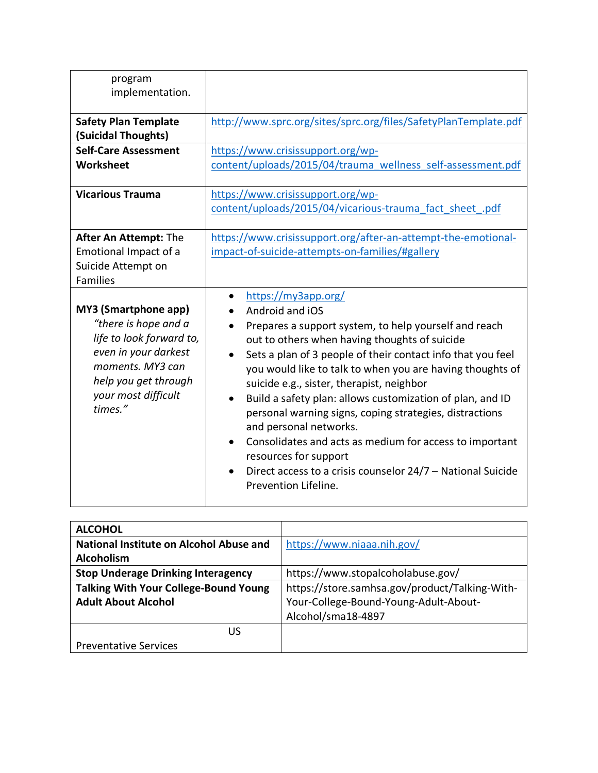| program<br>implementation.                                                                                                                                                     |                                                                                                                                                                                                                                                                                                                                                                                                                                                                                                                                                                                                                                                                                               |
|--------------------------------------------------------------------------------------------------------------------------------------------------------------------------------|-----------------------------------------------------------------------------------------------------------------------------------------------------------------------------------------------------------------------------------------------------------------------------------------------------------------------------------------------------------------------------------------------------------------------------------------------------------------------------------------------------------------------------------------------------------------------------------------------------------------------------------------------------------------------------------------------|
| <b>Safety Plan Template</b><br>(Suicidal Thoughts)                                                                                                                             | http://www.sprc.org/sites/sprc.org/files/SafetyPlanTemplate.pdf                                                                                                                                                                                                                                                                                                                                                                                                                                                                                                                                                                                                                               |
| <b>Self-Care Assessment</b><br>Worksheet                                                                                                                                       | https://www.crisissupport.org/wp-<br>content/uploads/2015/04/trauma wellness self-assessment.pdf                                                                                                                                                                                                                                                                                                                                                                                                                                                                                                                                                                                              |
| <b>Vicarious Trauma</b>                                                                                                                                                        | https://www.crisissupport.org/wp-<br>content/uploads/2015/04/vicarious-trauma fact sheet .pdf                                                                                                                                                                                                                                                                                                                                                                                                                                                                                                                                                                                                 |
| <b>After An Attempt: The</b><br>Emotional Impact of a<br>Suicide Attempt on<br>Families                                                                                        | https://www.crisissupport.org/after-an-attempt-the-emotional-<br>impact-of-suicide-attempts-on-families/#gallery                                                                                                                                                                                                                                                                                                                                                                                                                                                                                                                                                                              |
| MY3 (Smartphone app)<br>"there is hope and a<br>life to look forward to,<br>even in your darkest<br>moments. MY3 can<br>help you get through<br>your most difficult<br>times." | https://my3app.org/<br>Android and iOS<br>Prepares a support system, to help yourself and reach<br>out to others when having thoughts of suicide<br>Sets a plan of 3 people of their contact info that you feel<br>$\bullet$<br>you would like to talk to when you are having thoughts of<br>suicide e.g., sister, therapist, neighbor<br>Build a safety plan: allows customization of plan, and ID<br>$\bullet$<br>personal warning signs, coping strategies, distractions<br>and personal networks.<br>Consolidates and acts as medium for access to important<br>$\bullet$<br>resources for support<br>Direct access to a crisis counselor 24/7 - National Suicide<br>Prevention Lifeline. |

| <b>ALCOHOL</b>                               |                                                |
|----------------------------------------------|------------------------------------------------|
| National Institute on Alcohol Abuse and      | https://www.niaaa.nih.gov/                     |
| <b>Alcoholism</b>                            |                                                |
| <b>Stop Underage Drinking Interagency</b>    | https://www.stopalcoholabuse.gov/              |
| <b>Talking With Your College-Bound Young</b> | https://store.samhsa.gov/product/Talking-With- |
| <b>Adult About Alcohol</b>                   | Your-College-Bound-Young-Adult-About-          |
|                                              | Alcohol/sma18-4897                             |
| US                                           |                                                |
| <b>Preventative Services</b>                 |                                                |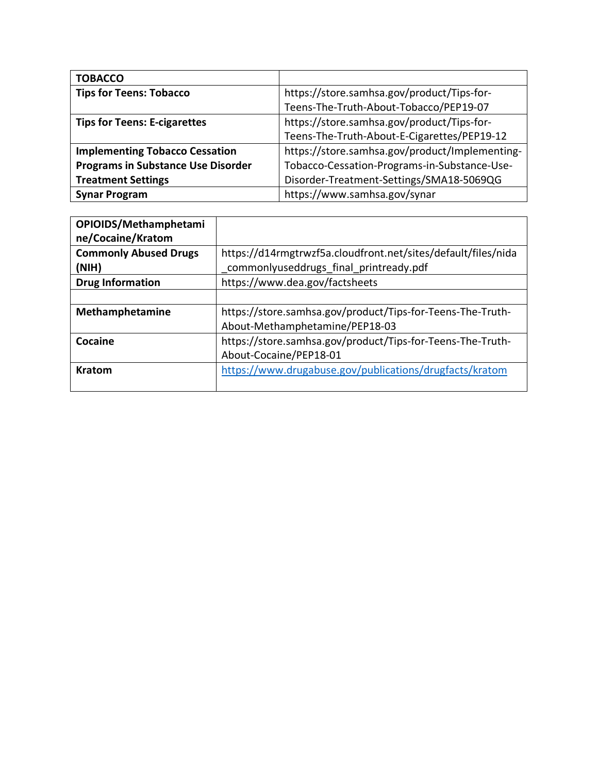| <b>TOBACCO</b>                            |                                                |
|-------------------------------------------|------------------------------------------------|
| <b>Tips for Teens: Tobacco</b>            | https://store.samhsa.gov/product/Tips-for-     |
|                                           | Teens-The-Truth-About-Tobacco/PEP19-07         |
| <b>Tips for Teens: E-cigarettes</b>       | https://store.samhsa.gov/product/Tips-for-     |
|                                           | Teens-The-Truth-About-E-Cigarettes/PEP19-12    |
| <b>Implementing Tobacco Cessation</b>     | https://store.samhsa.gov/product/Implementing- |
| <b>Programs in Substance Use Disorder</b> | Tobacco-Cessation-Programs-in-Substance-Use-   |
| <b>Treatment Settings</b>                 | Disorder-Treatment-Settings/SMA18-5069QG       |
| <b>Synar Program</b>                      | https://www.samhsa.gov/synar                   |

| OPIOIDS/Methamphetami<br>ne/Cocaine/Kratom        |                                                                                                         |
|---------------------------------------------------|---------------------------------------------------------------------------------------------------------|
| <b>Commonly Abused Drugs</b><br>(N <sup>H</sup> ) | https://d14rmgtrwzf5a.cloudfront.net/sites/default/files/nida<br>commonlyuseddrugs_final_printready.pdf |
| <b>Drug Information</b>                           | https://www.dea.gov/factsheets                                                                          |
|                                                   |                                                                                                         |
| Methamphetamine                                   | https://store.samhsa.gov/product/Tips-for-Teens-The-Truth-                                              |
|                                                   | About-Methamphetamine/PEP18-03                                                                          |
| Cocaine                                           | https://store.samhsa.gov/product/Tips-for-Teens-The-Truth-                                              |
|                                                   | About-Cocaine/PEP18-01                                                                                  |
| <b>Kratom</b>                                     | https://www.drugabuse.gov/publications/drugfacts/kratom                                                 |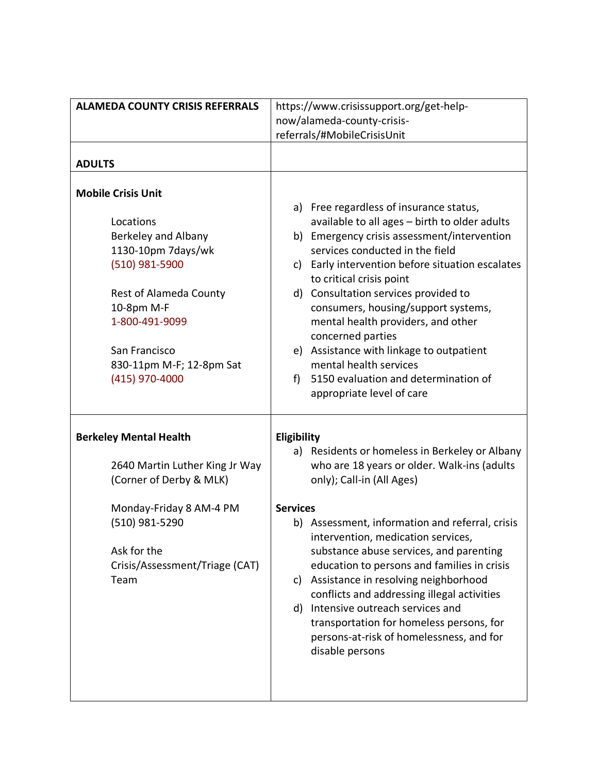| <b>ALAMEDA COUNTY CRISIS REFERRALS</b>                                                                                                                                                                              | https://www.crisissupport.org/get-help-                                                                                                                                                                                                                                                                                                                                                                                                                                    |
|---------------------------------------------------------------------------------------------------------------------------------------------------------------------------------------------------------------------|----------------------------------------------------------------------------------------------------------------------------------------------------------------------------------------------------------------------------------------------------------------------------------------------------------------------------------------------------------------------------------------------------------------------------------------------------------------------------|
|                                                                                                                                                                                                                     | now/alameda-county-crisis-                                                                                                                                                                                                                                                                                                                                                                                                                                                 |
|                                                                                                                                                                                                                     | referrals/#MobileCrisisUnit                                                                                                                                                                                                                                                                                                                                                                                                                                                |
|                                                                                                                                                                                                                     |                                                                                                                                                                                                                                                                                                                                                                                                                                                                            |
| <b>ADULTS</b>                                                                                                                                                                                                       |                                                                                                                                                                                                                                                                                                                                                                                                                                                                            |
| <b>Mobile Crisis Unit</b><br>Locations<br>Berkeley and Albany<br>1130-10pm 7days/wk<br>(510) 981-5900<br><b>Rest of Alameda County</b><br>10-8pm M-F<br>1-800-491-9099<br>San Francisco<br>830-11pm M-F; 12-8pm Sat | a) Free regardless of insurance status,<br>available to all ages - birth to older adults<br>b) Emergency crisis assessment/intervention<br>services conducted in the field<br>c) Early intervention before situation escalates<br>to critical crisis point<br>d) Consultation services provided to<br>consumers, housing/support systems,<br>mental health providers, and other<br>concerned parties<br>e) Assistance with linkage to outpatient<br>mental health services |
| (415) 970-4000                                                                                                                                                                                                      | 5150 evaluation and determination of<br>f<br>appropriate level of care                                                                                                                                                                                                                                                                                                                                                                                                     |
| <b>Berkeley Mental Health</b><br>2640 Martin Luther King Jr Way<br>(Corner of Derby & MLK)                                                                                                                          | Eligibility<br>a) Residents or homeless in Berkeley or Albany<br>who are 18 years or older. Walk-ins (adults<br>only); Call-in (All Ages)                                                                                                                                                                                                                                                                                                                                  |
| Monday-Friday 8 AM-4 PM<br>(510) 981-5290<br>Ask for the<br>Crisis/Assessment/Triage (CAT)<br>Team                                                                                                                  | <b>Services</b><br>b) Assessment, information and referral, crisis<br>intervention, medication services,<br>substance abuse services, and parenting<br>education to persons and families in crisis<br>Assistance in resolving neighborhood<br>C)<br>conflicts and addressing illegal activities<br>d) Intensive outreach services and<br>transportation for homeless persons, for<br>persons-at-risk of homelessness, and for<br>disable persons                           |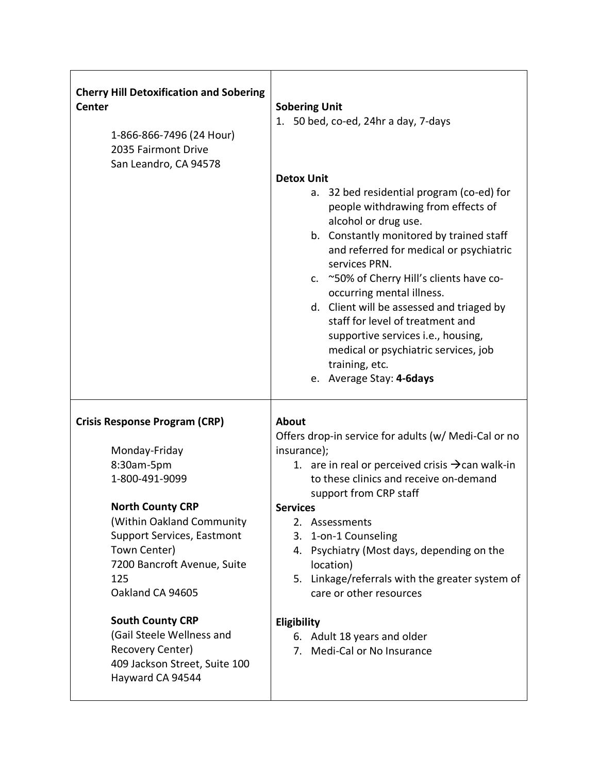| <b>Cherry Hill Detoxification and Sobering</b><br><b>Center</b><br>1-866-866-7496 (24 Hour)<br>2035 Fairmont Drive<br>San Leandro, CA 94578 | <b>Sobering Unit</b><br>50 bed, co-ed, 24hr a day, 7-days<br>1.<br><b>Detox Unit</b><br>a. 32 bed residential program (co-ed) for<br>people withdrawing from effects of<br>alcohol or drug use.<br>b. Constantly monitored by trained staff                                                                         |
|---------------------------------------------------------------------------------------------------------------------------------------------|---------------------------------------------------------------------------------------------------------------------------------------------------------------------------------------------------------------------------------------------------------------------------------------------------------------------|
|                                                                                                                                             | and referred for medical or psychiatric<br>services PRN.<br>c. ~50% of Cherry Hill's clients have co-<br>occurring mental illness.<br>d. Client will be assessed and triaged by<br>staff for level of treatment and<br>supportive services i.e., housing,<br>medical or psychiatric services, job<br>training, etc. |
|                                                                                                                                             | e. Average Stay: 4-6days                                                                                                                                                                                                                                                                                            |
| <b>Crisis Response Program (CRP)</b>                                                                                                        | <b>About</b><br>Offers drop-in service for adults (w/ Medi-Cal or no                                                                                                                                                                                                                                                |
| Monday-Friday                                                                                                                               | insurance);                                                                                                                                                                                                                                                                                                         |
| 8:30am-5pm<br>1-800-491-9099                                                                                                                | 1. are in real or perceived crisis $\rightarrow$ can walk-in<br>to these clinics and receive on-demand<br>support from CRP staff                                                                                                                                                                                    |
| <b>North County CRP</b>                                                                                                                     | <b>Services</b>                                                                                                                                                                                                                                                                                                     |
| (Within Oakland Community<br>Support Services, Eastmont<br>Town Center)<br>7200 Bancroft Avenue, Suite<br>125<br>Oakland CA 94605           | 2. Assessments<br>3. 1-on-1 Counseling<br>4. Psychiatry (Most days, depending on the<br>location)<br>5. Linkage/referrals with the greater system of<br>care or other resources                                                                                                                                     |
| <b>South County CRP</b><br>(Gail Steele Wellness and<br>Recovery Center)<br>409 Jackson Street, Suite 100<br>Hayward CA 94544               | Eligibility<br>6. Adult 18 years and older<br>7. Medi-Cal or No Insurance                                                                                                                                                                                                                                           |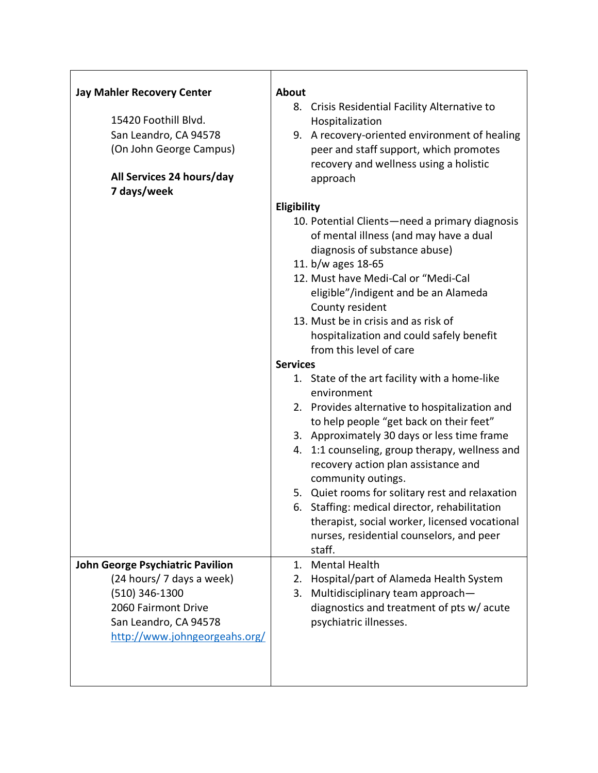| <b>Jay Mahler Recovery Center</b>       | <b>About</b>                                                                              |
|-----------------------------------------|-------------------------------------------------------------------------------------------|
|                                         | 8. Crisis Residential Facility Alternative to                                             |
| 15420 Foothill Blvd.                    | Hospitalization                                                                           |
| San Leandro, CA 94578                   | 9. A recovery-oriented environment of healing                                             |
| (On John George Campus)                 | peer and staff support, which promotes                                                    |
| All Services 24 hours/day               | recovery and wellness using a holistic                                                    |
| 7 days/week                             | approach                                                                                  |
|                                         | Eligibility                                                                               |
|                                         | 10. Potential Clients-need a primary diagnosis                                            |
|                                         | of mental illness (and may have a dual                                                    |
|                                         | diagnosis of substance abuse)                                                             |
|                                         | 11. b/w ages 18-65                                                                        |
|                                         | 12. Must have Medi-Cal or "Medi-Cal                                                       |
|                                         | eligible"/indigent and be an Alameda                                                      |
|                                         | County resident                                                                           |
|                                         | 13. Must be in crisis and as risk of                                                      |
|                                         | hospitalization and could safely benefit                                                  |
|                                         | from this level of care                                                                   |
|                                         | <b>Services</b>                                                                           |
|                                         | 1. State of the art facility with a home-like                                             |
|                                         | environment                                                                               |
|                                         | 2. Provides alternative to hospitalization and                                            |
|                                         | to help people "get back on their feet"                                                   |
|                                         | 3. Approximately 30 days or less time frame                                               |
|                                         | 4. 1:1 counseling, group therapy, wellness and                                            |
|                                         | recovery action plan assistance and                                                       |
|                                         | community outings.                                                                        |
|                                         | 5. Quiet rooms for solitary rest and relaxation                                           |
|                                         | 6. Staffing: medical director, rehabilitation                                             |
|                                         | therapist, social worker, licensed vocational<br>nurses, residential counselors, and peer |
|                                         | staff.                                                                                    |
| <b>John George Psychiatric Pavilion</b> | 1. Mental Health                                                                          |
| (24 hours/ 7 days a week)               | 2. Hospital/part of Alameda Health System                                                 |
| (510) 346-1300                          | Multidisciplinary team approach-<br>3.                                                    |
| 2060 Fairmont Drive                     | diagnostics and treatment of pts w/acute                                                  |
| San Leandro, CA 94578                   | psychiatric illnesses.                                                                    |
| http://www.johngeorgeahs.org/           |                                                                                           |
|                                         |                                                                                           |
|                                         |                                                                                           |
|                                         |                                                                                           |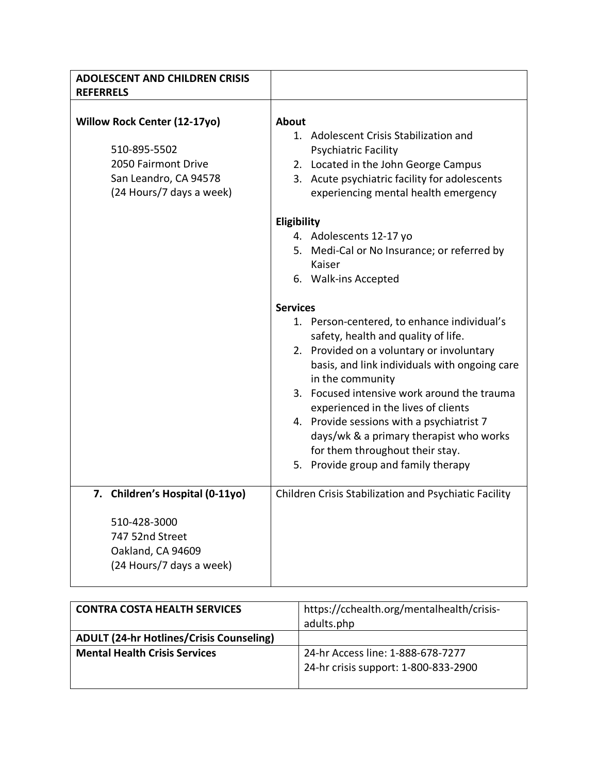| <b>ADOLESCENT AND CHILDREN CRISIS</b><br><b>REFERRELS</b>                                                                       |                                                                                                                                                                                                                                                                                                                                                                                                                                                                                 |
|---------------------------------------------------------------------------------------------------------------------------------|---------------------------------------------------------------------------------------------------------------------------------------------------------------------------------------------------------------------------------------------------------------------------------------------------------------------------------------------------------------------------------------------------------------------------------------------------------------------------------|
| <b>Willow Rock Center (12-17yo)</b><br>510-895-5502<br>2050 Fairmont Drive<br>San Leandro, CA 94578<br>(24 Hours/7 days a week) | <b>About</b><br>1. Adolescent Crisis Stabilization and<br><b>Psychiatric Facility</b><br>2. Located in the John George Campus<br>3. Acute psychiatric facility for adolescents<br>experiencing mental health emergency                                                                                                                                                                                                                                                          |
|                                                                                                                                 | Eligibility<br>4. Adolescents 12-17 yo<br>5. Medi-Cal or No Insurance; or referred by<br>Kaiser<br>6. Walk-ins Accepted                                                                                                                                                                                                                                                                                                                                                         |
|                                                                                                                                 | <b>Services</b><br>1. Person-centered, to enhance individual's<br>safety, health and quality of life.<br>2. Provided on a voluntary or involuntary<br>basis, and link individuals with ongoing care<br>in the community<br>3. Focused intensive work around the trauma<br>experienced in the lives of clients<br>4. Provide sessions with a psychiatrist 7<br>days/wk & a primary therapist who works<br>for them throughout their stay.<br>5. Provide group and family therapy |
| 7. Children's Hospital (0-11yo)<br>510-428-3000<br>747 52nd Street<br>Oakland, CA 94609<br>(24 Hours/7 days a week)             | Children Crisis Stabilization and Psychiatic Facility                                                                                                                                                                                                                                                                                                                                                                                                                           |

| <b>CONTRA COSTA HEALTH SERVICES</b>             | https://cchealth.org/mentalhealth/crisis- |
|-------------------------------------------------|-------------------------------------------|
|                                                 | adults.php                                |
| <b>ADULT (24-hr Hotlines/Crisis Counseling)</b> |                                           |
| <b>Mental Health Crisis Services</b>            | 24-hr Access line: 1-888-678-7277         |
|                                                 | 24-hr crisis support: 1-800-833-2900      |
|                                                 |                                           |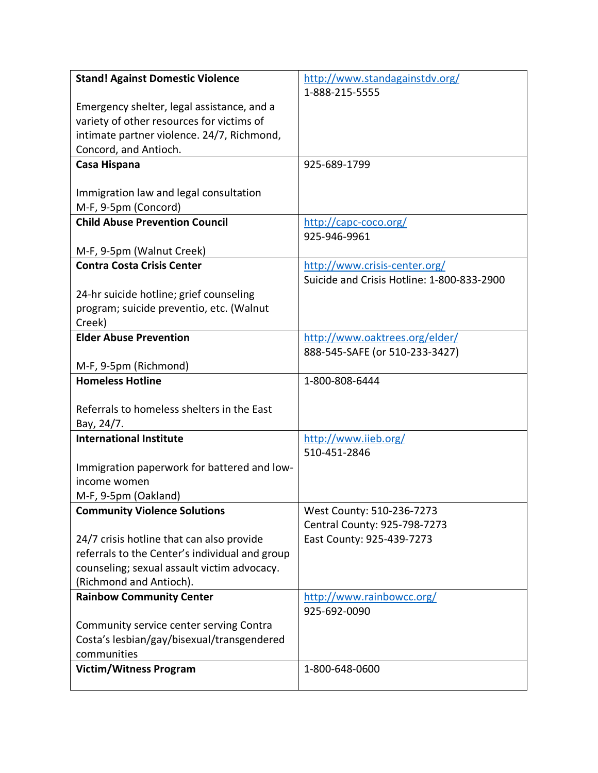| <b>Stand! Against Domestic Violence</b>        | http://www.standagainstdv.org/             |
|------------------------------------------------|--------------------------------------------|
|                                                | 1-888-215-5555                             |
| Emergency shelter, legal assistance, and a     |                                            |
| variety of other resources for victims of      |                                            |
| intimate partner violence. 24/7, Richmond,     |                                            |
| Concord, and Antioch.                          |                                            |
| Casa Hispana                                   | 925-689-1799                               |
|                                                |                                            |
| Immigration law and legal consultation         |                                            |
| M-F, 9-5pm (Concord)                           |                                            |
| <b>Child Abuse Prevention Council</b>          | http://capc-coco.org/                      |
|                                                | 925-946-9961                               |
| M-F, 9-5pm (Walnut Creek)                      |                                            |
| <b>Contra Costa Crisis Center</b>              | http://www.crisis-center.org/              |
|                                                | Suicide and Crisis Hotline: 1-800-833-2900 |
| 24-hr suicide hotline; grief counseling        |                                            |
| program; suicide preventio, etc. (Walnut       |                                            |
| Creek)                                         |                                            |
| <b>Elder Abuse Prevention</b>                  | http://www.oaktrees.org/elder/             |
|                                                | 888-545-SAFE (or 510-233-3427)             |
| M-F, 9-5pm (Richmond)                          |                                            |
| <b>Homeless Hotline</b>                        | 1-800-808-6444                             |
| Referrals to homeless shelters in the East     |                                            |
| Bay, 24/7.                                     |                                            |
| <b>International Institute</b>                 | http://www.iieb.org/                       |
|                                                | 510-451-2846                               |
| Immigration paperwork for battered and low-    |                                            |
| income women                                   |                                            |
| M-F, 9-5pm (Oakland)                           |                                            |
| <b>Community Violence Solutions</b>            | West County: 510-236-7273                  |
|                                                | Central County: 925-798-7273               |
| 24/7 crisis hotline that can also provide      | East County: 925-439-7273                  |
| referrals to the Center's individual and group |                                            |
| counseling; sexual assault victim advocacy.    |                                            |
| (Richmond and Antioch).                        |                                            |
| <b>Rainbow Community Center</b>                | http://www.rainbowcc.org/                  |
|                                                | 925-692-0090                               |
| Community service center serving Contra        |                                            |
| Costa's lesbian/gay/bisexual/transgendered     |                                            |
| communities                                    |                                            |
| <b>Victim/Witness Program</b>                  | 1-800-648-0600                             |
|                                                |                                            |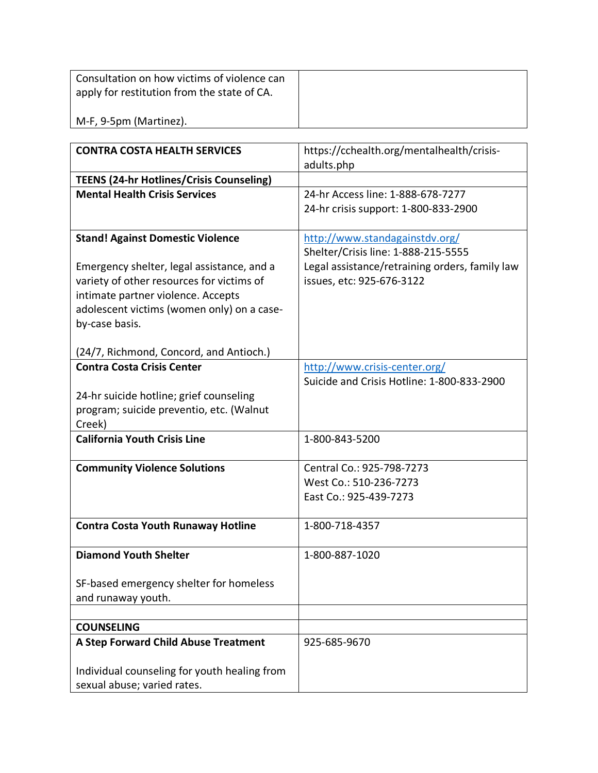| Consultation on how victims of violence can<br>apply for restitution from the state of CA. |  |
|--------------------------------------------------------------------------------------------|--|
| M-F, 9-5pm (Martinez).                                                                     |  |

| <b>CONTRA COSTA HEALTH SERVICES</b>                | https://cchealth.org/mentalhealth/crisis-      |
|----------------------------------------------------|------------------------------------------------|
|                                                    | adults.php                                     |
| <b>TEENS (24-hr Hotlines/Crisis Counseling)</b>    |                                                |
| <b>Mental Health Crisis Services</b>               | 24-hr Access line: 1-888-678-7277              |
|                                                    | 24-hr crisis support: 1-800-833-2900           |
| <b>Stand! Against Domestic Violence</b>            | http://www.standagainstdv.org/                 |
|                                                    | Shelter/Crisis line: 1-888-215-5555            |
| Emergency shelter, legal assistance, and a         | Legal assistance/retraining orders, family law |
| variety of other resources for victims of          | issues, etc: 925-676-3122                      |
| intimate partner violence. Accepts                 |                                                |
| adolescent victims (women only) on a case-         |                                                |
| by-case basis.                                     |                                                |
|                                                    |                                                |
| (24/7, Richmond, Concord, and Antioch.)            |                                                |
| <b>Contra Costa Crisis Center</b>                  | http://www.crisis-center.org/                  |
|                                                    | Suicide and Crisis Hotline: 1-800-833-2900     |
| 24-hr suicide hotline; grief counseling            |                                                |
| program; suicide preventio, etc. (Walnut<br>Creek) |                                                |
| <b>California Youth Crisis Line</b>                | 1-800-843-5200                                 |
|                                                    |                                                |
| <b>Community Violence Solutions</b>                | Central Co.: 925-798-7273                      |
|                                                    | West Co.: 510-236-7273                         |
|                                                    | East Co.: 925-439-7273                         |
| <b>Contra Costa Youth Runaway Hotline</b>          | 1-800-718-4357                                 |
|                                                    |                                                |
| <b>Diamond Youth Shelter</b>                       | 1-800-887-1020                                 |
|                                                    |                                                |
| SF-based emergency shelter for homeless            |                                                |
| and runaway youth.                                 |                                                |
| <b>COUNSELING</b>                                  |                                                |
|                                                    |                                                |
| A Step Forward Child Abuse Treatment               | 925-685-9670                                   |
| Individual counseling for youth healing from       |                                                |
| sexual abuse; varied rates.                        |                                                |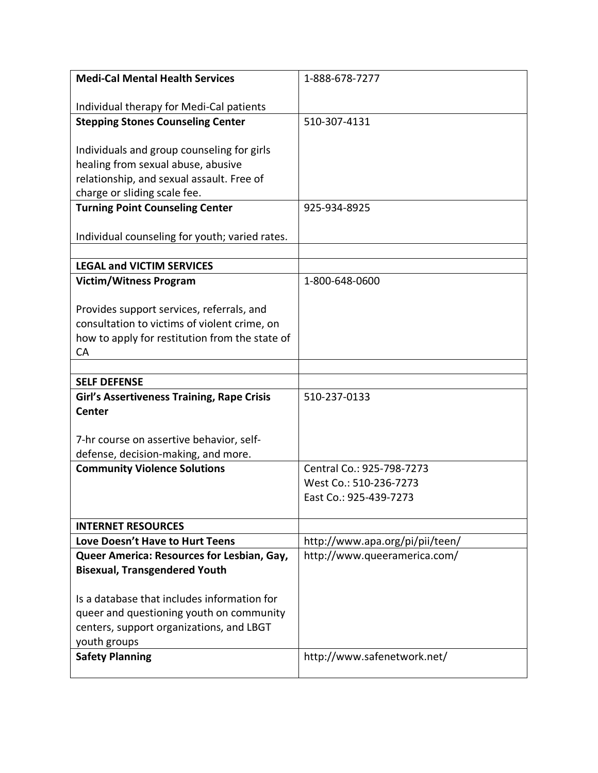| <b>Medi-Cal Mental Health Services</b>            | 1-888-678-7277                  |
|---------------------------------------------------|---------------------------------|
|                                                   |                                 |
| Individual therapy for Medi-Cal patients          |                                 |
| <b>Stepping Stones Counseling Center</b>          | 510-307-4131                    |
|                                                   |                                 |
| Individuals and group counseling for girls        |                                 |
| healing from sexual abuse, abusive                |                                 |
| relationship, and sexual assault. Free of         |                                 |
| charge or sliding scale fee.                      |                                 |
| <b>Turning Point Counseling Center</b>            | 925-934-8925                    |
|                                                   |                                 |
| Individual counseling for youth; varied rates.    |                                 |
|                                                   |                                 |
| <b>LEGAL and VICTIM SERVICES</b>                  |                                 |
| <b>Victim/Witness Program</b>                     | 1-800-648-0600                  |
|                                                   |                                 |
| Provides support services, referrals, and         |                                 |
| consultation to victims of violent crime, on      |                                 |
| how to apply for restitution from the state of    |                                 |
| CA                                                |                                 |
| <b>SELF DEFENSE</b>                               |                                 |
| <b>Girl's Assertiveness Training, Rape Crisis</b> | 510-237-0133                    |
| <b>Center</b>                                     |                                 |
|                                                   |                                 |
| 7-hr course on assertive behavior, self-          |                                 |
| defense, decision-making, and more.               |                                 |
| <b>Community Violence Solutions</b>               | Central Co.: 925-798-7273       |
|                                                   | West Co.: 510-236-7273          |
|                                                   | East Co.: 925-439-7273          |
|                                                   |                                 |
| <b>INTERNET RESOURCES</b>                         |                                 |
| Love Doesn't Have to Hurt Teens                   | http://www.apa.org/pi/pii/teen/ |
| Queer America: Resources for Lesbian, Gay,        | http://www.queeramerica.com/    |
| <b>Bisexual, Transgendered Youth</b>              |                                 |
|                                                   |                                 |
| Is a database that includes information for       |                                 |
| queer and questioning youth on community          |                                 |
| centers, support organizations, and LBGT          |                                 |
| youth groups                                      |                                 |
| <b>Safety Planning</b>                            | http://www.safenetwork.net/     |
|                                                   |                                 |